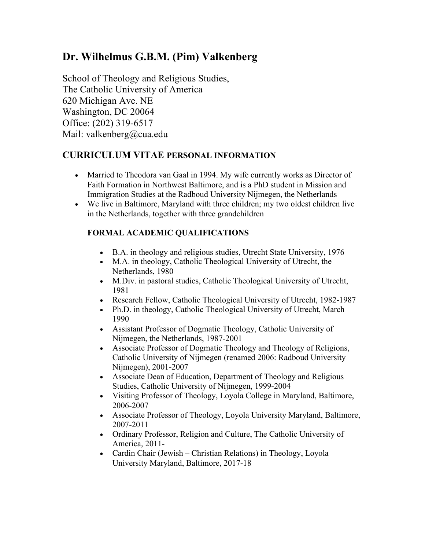# **Dr. Wilhelmus G.B.M. (Pim) Valkenberg**

School of Theology and Religious Studies, The Catholic University of America 620 Michigan Ave. NE Washington, DC 20064 Office: (202) 319-6517 Mail: valkenberg@cua.edu

# **CURRICULUM VITAE PERSONAL INFORMATION**

- Married to Theodora van Gaal in 1994. My wife currently works as Director of Faith Formation in Northwest Baltimore, and is a PhD student in Mission and Immigration Studies at the Radboud University Nijmegen, the Netherlands
- We live in Baltimore, Maryland with three children; my two oldest children live in the Netherlands, together with three grandchildren

## **FORMAL ACADEMIC QUALIFICATIONS**

- B.A. in theology and religious studies, Utrecht State University, 1976
- M.A. in theology, Catholic Theological University of Utrecht, the Netherlands, 1980
- M.Div. in pastoral studies, Catholic Theological University of Utrecht, 1981
- Research Fellow, Catholic Theological University of Utrecht, 1982-1987
- Ph.D. in theology, Catholic Theological University of Utrecht, March 1990
- Assistant Professor of Dogmatic Theology, Catholic University of Nijmegen, the Netherlands, 1987-2001
- Associate Professor of Dogmatic Theology and Theology of Religions, Catholic University of Nijmegen (renamed 2006: Radboud University Nijmegen), 2001-2007
- Associate Dean of Education, Department of Theology and Religious Studies, Catholic University of Nijmegen, 1999-2004
- Visiting Professor of Theology, Loyola College in Maryland, Baltimore, 2006-2007
- Associate Professor of Theology, Loyola University Maryland, Baltimore, 2007-2011
- Ordinary Professor, Religion and Culture, The Catholic University of America, 2011-
- Cardin Chair (Jewish Christian Relations) in Theology, Loyola University Maryland, Baltimore, 2017-18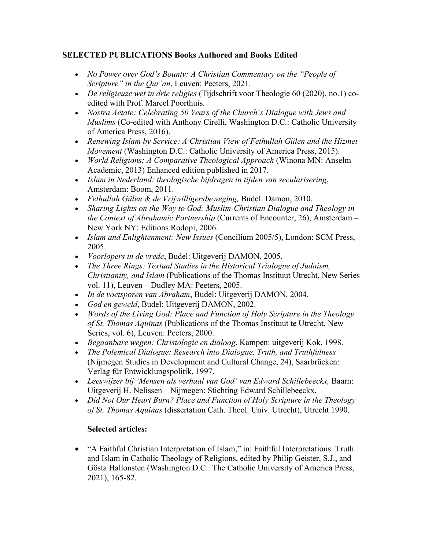#### **SELECTED PUBLICATIONS Books Authored and Books Edited**

- *No Power over God's Bounty: A Christian Commentary on the "People of Scripture" in the Qur'an*, Leuven: Peeters, 2021.
- *De religieuze wet in drie religies* (Tijdschrift voor Theologie 60 (2020), no.1) coedited with Prof. Marcel Poorthuis.
- *Nostra Aetate: Celebrating 50 Years of the Church's Dialogue with Jews and Muslims* (Co-edited with Anthony Cirelli, Washington D.C.: Catholic University of America Press, 2016).
- *Renewing Islam by Service: A Christian View of Fethullah Gülen and the Hizmet Movement* (Washington D.C.: Catholic University of America Press, 2015).
- *World Religions: A Comparative Theological Approach* (Winona MN: Anselm Academic, 2013) Enhanced edition published in 2017.
- *Islam in Nederland: theologische bijdragen in tijden van secularisering*, Amsterdam: Boom, 2011.
- *Fethullah Gülen & de Vrijwilligersbeweging,* Budel: Damon, 2010.
- *Sharing Lights on the Way to God: Muslim-Christian Dialogue and Theology in the Context of Abrahamic Partnership* (Currents of Encounter, 26), Amsterdam – New York NY: Editions Rodopi, 2006.
- *Islam and Enlightenment: New Issues* (Concilium 2005/5), London: SCM Press, 2005.
- *Voorlopers in de vrede*, Budel: Uitgeverij DAMON, 2005.
- *The Three Rings: Textual Studies in the Historical Trialogue of Judaism, Christianity, and Islam* (Publications of the Thomas Instituut Utrecht, New Series vol. 11), Leuven – Dudley MA: Peeters, 2005.
- *In de voetsporen van Abraham*, Budel: Uitgeverij DAMON, 2004.
- *God en geweld*, Budel: Uitgeverij DAMON, 2002.
- *Words of the Living God: Place and Function of Holy Scripture in the Theology of St. Thomas Aquinas* (Publications of the Thomas Instituut te Utrecht, New Series, vol. 6), Leuven: Peeters, 2000.
- *Begaanbare wegen: Christologie en dialoog*, Kampen: uitgeverij Kok, 1998.
- *The Polemical Dialogue: Research into Dialogue, Truth, and Truthfulness*  (Nijmegen Studies in Development and Cultural Change, 24), Saarbrücken: Verlag für Entwicklungspolitik, 1997.
- *Leeswijzer bij 'Mensen als verhaal van God' van Edward Schillebeeckx,* Baarn: Uitgeverij H. Nelissen – Nijmegen: Stichting Edward Schillebeeckx.
- *Did Not Our Heart Burn? Place and Function of Holy Scripture in the Theology of St. Thomas Aquinas* (dissertation Cath. Theol. Univ. Utrecht), Utrecht 1990.

#### **Selected articles:**

• "A Faithful Christian Interpretation of Islam," in: Faithful Interpretations: Truth and Islam in Catholic Theology of Religions, edited by Philip Geister, S.J., and Gösta Hallonsten (Washington D.C.: The Catholic University of America Press, 2021), 165-82.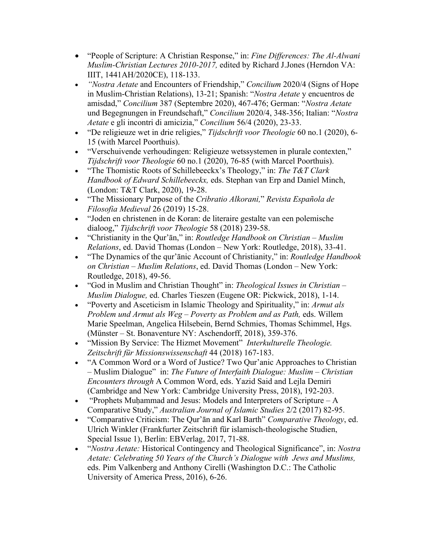- "People of Scripture: A Christian Response," in: *Fine Differences: The Al-Alwani Muslim-Christian Lectures 2010-2017,* edited by Richard J.Jones (Herndon VA: IIIT, 1441AH/2020CE), 118-133.
- *"Nostra Aetate* and Encounters of Friendship," *Concilium* 2020/4 (Signs of Hope in Muslim-Christian Relations), 13-21; Spanish: "*Nostra Aetate* y encuentros de amisdad," *Concilium* 387 (Septembre 2020), 467-476; German: "*Nostra Aetate*  und Begegnungen in Freundschaft," *Concilium* 2020/4, 348-356; Italian: "*Nostra Aetate* e gli incontri di amicizia," *Concilium* 56/4 (2020), 23-33.
- "De religieuze wet in drie religies," *Tijdschrift voor Theologie* 60 no.1 (2020), 6- 15 (with Marcel Poorthuis).
- "Verschuivende verhoudingen: Religieuze wetssystemen in plurale contexten," *Tijdschrift voor Theologie* 60 no.1 (2020), 76-85 (with Marcel Poorthuis).
- "The Thomistic Roots of Schillebeeckx's Theology," in: *The T&T Clark Handbook of Edward Schillebeeckx,* eds. Stephan van Erp and Daniel Minch, (London: T&T Clark, 2020), 19-28.
- "The Missionary Purpose of the *Cribratio Alkorani,*" *Revista Española de Filosofia Medieval* 26 (2019) 15-28.
- "Joden en christenen in de Koran: de literaire gestalte van een polemische dialoog," *Tijdschrift voor Theologie* 58 (2018) 239-58.
- "Christianity in the Qur'ān," in: *Routledge Handbook on Christian – Muslim Relations*, ed. David Thomas (London – New York: Routledge, 2018), 33-41.
- "The Dynamics of the qur'ānic Account of Christianity," in: *Routledge Handbook on Christian – Muslim Relations*, ed. David Thomas (London – New York: Routledge, 2018), 49-56.
- "God in Muslim and Christian Thought" in: *Theological Issues in Christian – Muslim Dialogue,* ed. Charles Tieszen (Eugene OR: Pickwick, 2018), 1-14.
- "Poverty and Asceticism in Islamic Theology and Spirituality," in: *Armut als Problem und Armut als Weg – Poverty as Problem and as Path,* eds. Willem Marie Speelman, Angelica Hilsebein, Bernd Schmies, Thomas Schimmel, Hgs. (Münster – St. Bonaventure NY: Aschendorff, 2018), 359-376.
- "Mission By Service: The Hizmet Movement" *Interkulturelle Theologie. Zeitschrift für Missionswissenschaft* 44 (2018) 167-183.
- "A Common Word or a Word of Justice? Two Qur'anic Approaches to Christian – Muslim Dialogue" in: *The Future of Interfaith Dialogue: Muslim – Christian Encounters through* A Common Word, eds. Yazid Said and Lejla Demiri (Cambridge and New York: Cambridge University Press, 2018), 192-203.
- "Prophets Muḥammad and Jesus: Models and Interpreters of Scripture A Comparative Study," *Australian Journal of Islamic Studies* 2/2 (2017) 82-95.
- "Comparative Criticism: The Qur'ān and Karl Barth" *Comparative Theology*, ed. Ulrich Winkler (Frankfurter Zeitschrift für islamisch-theologische Studien, Special Issue 1), Berlin: EBVerlag, 2017, 71-88.
- "*Nostra Aetate:* Historical Contingency and Theological Significance", in: *Nostra Aetate: Celebrating 50 Years of the Church's Dialogue with Jews and Muslims,*  eds. Pim Valkenberg and Anthony Cirelli (Washington D.C.: The Catholic University of America Press, 2016), 6-26.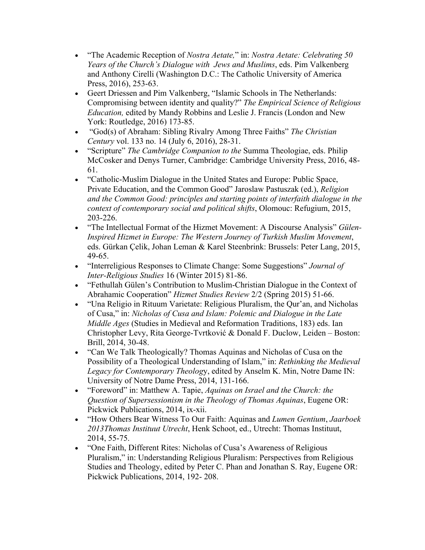- "The Academic Reception of *Nostra Aetate,*" in: *Nostra Aetate: Celebrating 50 Years of the Church's Dialogue with Jews and Muslims*, eds. Pim Valkenberg and Anthony Cirelli (Washington D.C.: The Catholic University of America Press, 2016), 253-63.
- Geert Driessen and Pim Valkenberg, "Islamic Schools in The Netherlands: Compromising between identity and quality?" *The Empirical Science of Religious Education,* edited by Mandy Robbins and Leslie J. Francis (London and New York: Routledge, 2016) 173-85.
- "God(s) of Abraham: Sibling Rivalry Among Three Faiths" *The Christian Century* vol. 133 no. 14 (July 6, 2016), 28-31.
- "Scripture" *The Cambridge Companion to the* Summa Theologiae, eds. Philip McCosker and Denys Turner, Cambridge: Cambridge University Press, 2016, 48- 61.
- "Catholic-Muslim Dialogue in the United States and Europe: Public Space, Private Education, and the Common Good" Jaroslaw Pastuszak (ed.), *Religion and the Common Good: principles and starting points of interfaith dialogue in the context of contemporary social and political shifts*, Olomouc: Refugium, 2015, 203-226.
- "The Intellectual Format of the Hizmet Movement: A Discourse Analysis" *Gülen-Inspired Hizmet in Europe: The Western Journey of Turkish Muslim Movement*, eds. Gürkan Çelik, Johan Leman & Karel Steenbrink: Brussels: Peter Lang, 2015, 49-65.
- "Interreligious Responses to Climate Change: Some Suggestions" *Journal of Inter-Religious Studies* 16 (Winter 2015) 81-86.
- "Fethullah Gülen's Contribution to Muslim-Christian Dialogue in the Context of Abrahamic Cooperation" *Hizmet Studies Review* 2/2 (Spring 2015) 51-66.
- "Una Religio in Rituum Varietate: Religious Pluralism, the Qur'an, and Nicholas of Cusa," in: *Nicholas of Cusa and Islam: Polemic and Dialogue in the Late Middle Ages* (Studies in Medieval and Reformation Traditions, 183) eds. Ian Christopher Levy, Rita George-Tvrtković & Donald F. Duclow, Leiden – Boston: Brill, 2014, 30-48.
- "Can We Talk Theologically? Thomas Aquinas and Nicholas of Cusa on the Possibility of a Theological Understanding of Islam," in: *Rethinking the Medieval Legacy for Contemporary Theolog*y, edited by Anselm K. Min, Notre Dame IN: University of Notre Dame Press, 2014, 131-166.
- "Foreword" in: Matthew A. Tapie, *Aquinas on Israel and the Church: the Question of Supersessionism in the Theology of Thomas Aquinas*, Eugene OR: Pickwick Publications, 2014, ix-xii.
- "How Others Bear Witness To Our Faith: Aquinas and *Lumen Gentium*, *Jaarboek 2013Thomas Instituut Utrecht*, Henk Schoot, ed., Utrecht: Thomas Instituut, 2014, 55-75.
- "One Faith, Different Rites: Nicholas of Cusa's Awareness of Religious Pluralism," in: Understanding Religious Pluralism: Perspectives from Religious Studies and Theology, edited by Peter C. Phan and Jonathan S. Ray, Eugene OR: Pickwick Publications, 2014, 192- 208.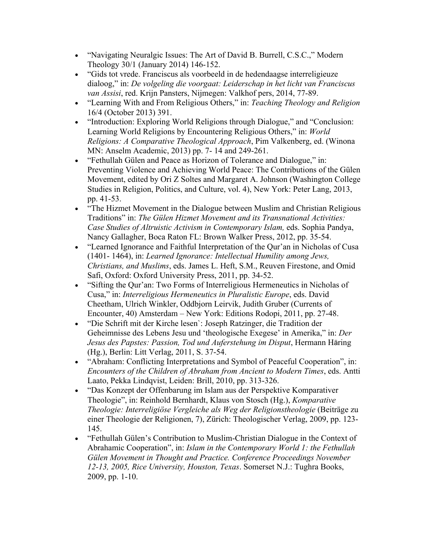- "Navigating Neuralgic Issues: The Art of David B. Burrell, C.S.C.," Modern Theology 30/1 (January 2014) 146-152.
- "Gids tot vrede. Franciscus als voorbeeld in de hedendaagse interreligieuze dialoog," in: *De volgeling die voorgaat: Leiderschap in het licht van Franciscus van Assisi*, red. Krijn Pansters, Nijmegen: Valkhof pers, 2014, 77-89.
- "Learning With and From Religious Others," in: *Teaching Theology and Religion*  16/4 (October 2013) 391.
- "Introduction: Exploring World Religions through Dialogue," and "Conclusion: Learning World Religions by Encountering Religious Others," in: *World Religions: A Comparative Theological Approach*, Pim Valkenberg, ed. (Winona MN: Anselm Academic, 2013) pp. 7- 14 and 249-261.
- "Fethullah Gülen and Peace as Horizon of Tolerance and Dialogue," in: Preventing Violence and Achieving World Peace: The Contributions of the Gülen Movement, edited by Ori Z Soltes and Margaret A. Johnson (Washington College Studies in Religion, Politics, and Culture, vol. 4), New York: Peter Lang, 2013, pp. 41-53.
- "The Hizmet Movement in the Dialogue between Muslim and Christian Religious Traditions" in: *The Gülen Hizmet Movement and its Transnational Activities: Case Studies of Altruistic Activism in Contemporary Islam,* eds. Sophia Pandya, Nancy Gallagher, Boca Raton FL: Brown Walker Press, 2012, pp. 35-54.
- "Learned Ignorance and Faithful Interpretation of the Qur'an in Nicholas of Cusa (1401- 1464), in: *Learned Ignorance: Intellectual Humility among Jews, Christians, and Muslims*, eds. James L. Heft, S.M., Reuven Firestone, and Omid Safi, Oxford: Oxford University Press, 2011, pp. 34-52.
- "Sifting the Qur'an: Two Forms of Interreligious Hermeneutics in Nicholas of Cusa," in: *Interreligious Hermeneutics in Pluralistic Europe*, eds. David Cheetham, Ulrich Winkler, Oddbjorn Leirvik, Judith Gruber (Currents of Encounter, 40) Amsterdam – New York: Editions Rodopi, 2011, pp. 27-48.
- "Die Schrift mit der Kirche lesen`: Joseph Ratzinger, die Tradition der Geheimnisse des Lebens Jesu und 'theologische Exegese' in Amerika," in: *Der Jesus des Papstes: Passion, Tod und Auferstehung im Disput*, Hermann Häring (Hg.), Berlin: Litt Verlag, 2011, S. 37-54.
- "Abraham: Conflicting Interpretations and Symbol of Peaceful Cooperation", in: *Encounters of the Children of Abraham from Ancient to Modern Times*, eds. Antti Laato, Pekka Lindqvist, Leiden: Brill, 2010, pp. 313-326.
- "Das Konzept der Offenbarung im Islam aus der Perspektive Komparativer Theologie", in: Reinhold Bernhardt, Klaus von Stosch (Hg.), *Komparative Theologie: Interreligiöse Vergleiche als Weg der Religionstheologie* (Beiträge zu einer Theologie der Religionen, 7), Zürich: Theologischer Verlag, 2009, pp. 123- 145.
- "Fethullah Gülen's Contribution to Muslim-Christian Dialogue in the Context of Abrahamic Cooperation", in: *Islam in the Contemporary World 1: the Fethullah Gülen Movement in Thought and Practice. Conference Proceedings November 12-13, 2005, Rice University, Houston, Texas*. Somerset N.J.: Tughra Books, 2009, pp. 1-10.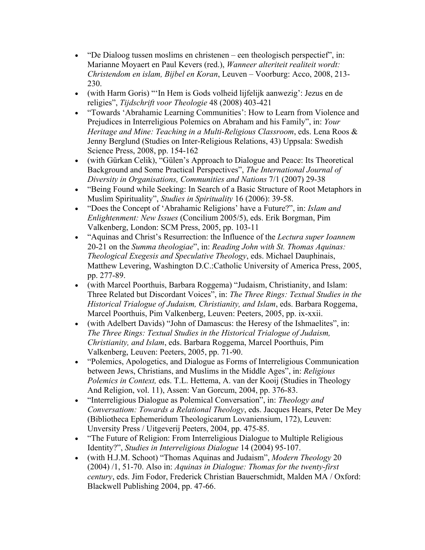- "De Dialoog tussen moslims en christenen een theologisch perspectief", in: Marianne Moyaert en Paul Kevers (red.), *Wanneer alteriteit realiteit wordt: Christendom en islam, Bijbel en Koran*, Leuven – Voorburg: Acco, 2008, 213- 230.
- (with Harm Goris) "'In Hem is Gods volheid lijfelijk aanwezig': Jezus en de religies", *Tijdschrift voor Theologie* 48 (2008) 403-421
- "Towards 'Abrahamic Learning Communities': How to Learn from Violence and Prejudices in Interreligious Polemics on Abraham and his Family", in: *Your Heritage and Mine: Teaching in a Multi-Religious Classroom*, eds. Lena Roos & Jenny Berglund (Studies on Inter-Religious Relations, 43) Uppsala: Swedish Science Press, 2008, pp. 154-162
- (with Gürkan Celik), "Gülen's Approach to Dialogue and Peace: Its Theoretical Background and Some Practical Perspectives", *The International Journal of Diversity in Organisations, Communities and Nations* 7/1 (2007) 29-38
- "Being Found while Seeking: In Search of a Basic Structure of Root Metaphors in Muslim Spirituality", *Studies in Spirituality* 16 (2006): 39-58.
- "Does the Concept of 'Abrahamic Religions' have a Future?", in: *Islam and Enlightenment: New Issues* (Concilium 2005/5), eds. Erik Borgman, Pim Valkenberg, London: SCM Press, 2005, pp. 103-11
- "Aquinas and Christ's Resurrection: the Influence of the *Lectura super Ioannem*  20-21 on the *Summa theologiae*", in: *Reading John with St. Thomas Aquinas: Theological Exegesis and Speculative Theology*, eds. Michael Dauphinais, Matthew Levering, Washington D.C.:Catholic University of America Press, 2005, pp. 277-89.
- (with Marcel Poorthuis, Barbara Roggema) "Judaism, Christianity, and Islam: Three Related but Discordant Voices", in: *The Three Rings: Textual Studies in the Historical Trialogue of Judaism, Christianity, and Islam*, eds. Barbara Roggema, Marcel Poorthuis, Pim Valkenberg, Leuven: Peeters, 2005, pp. ix-xxii.
- (with Adelbert Davids) "John of Damascus: the Heresy of the Ishmaelites", in: *The Three Rings: Textual Studies in the Historical Trialogue of Judaism, Christianity, and Islam*, eds. Barbara Roggema, Marcel Poorthuis, Pim Valkenberg, Leuven: Peeters, 2005, pp. 71-90.
- "Polemics, Apologetics, and Dialogue as Forms of Interreligious Communication between Jews, Christians, and Muslims in the Middle Ages", in: *Religious Polemics in Context,* eds. T.L. Hettema, A. van der Kooij (Studies in Theology And Religion, vol. 11), Assen: Van Gorcum, 2004, pp. 376-83.
- "Interreligious Dialogue as Polemical Conversation", in: *Theology and Conversatiom: Towards a Relational Theology*, eds. Jacques Hears, Peter De Mey (Bibliotheca Ephemeridum Theologicarum Lovaniensium, 172), Leuven: Unversity Press / Uitgeverij Peeters, 2004, pp. 475-85.
- "The Future of Religion: From Interreligious Dialogue to Multiple Religious Identity?", *Studies in Interreligious Dialogue* 14 (2004) 95-107.
- (with H.J.M. Schoot) "Thomas Aquinas and Judaism", *Modern Theology* 20 (2004) /1, 51-70. Also in: *Aquinas in Dialogue: Thomas for the twenty-first century*, eds. Jim Fodor, Frederick Christian Bauerschmidt, Malden MA / Oxford: Blackwell Publishing 2004, pp. 47-66.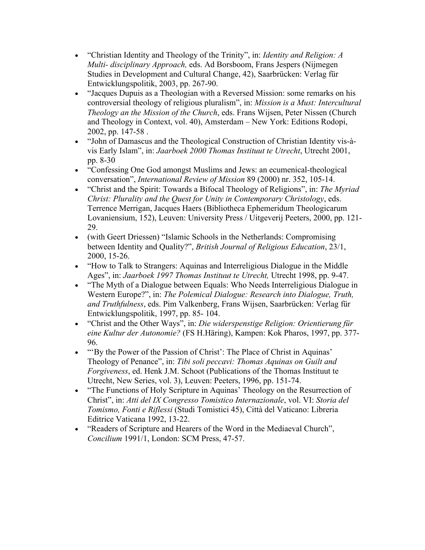- "Christian Identity and Theology of the Trinity", in: *Identity and Religion: A Multi- disciplinary Approach,* eds. Ad Borsboom, Frans Jespers (Nijmegen Studies in Development and Cultural Change, 42), Saarbrücken: Verlag für Entwicklungspolitik, 2003, pp. 267-90.
- "Jacques Dupuis as a Theologian with a Reversed Mission: some remarks on his controversial theology of religious pluralism", in: *Mission is a Must: Intercultural Theology an the Mission of the Church*, eds. Frans Wijsen, Peter Nissen (Church and Theology in Context, vol. 40), Amsterdam – New York: Editions Rodopi, 2002, pp. 147-58 .
- "John of Damascus and the Theological Construction of Christian Identity vis-àvis Early Islam", in: *Jaarboek 2000 Thomas Instituut te Utrecht*, Utrecht 2001, pp. 8-30
- "Confessing One God amongst Muslims and Jews: an ecumenical-theological conversation", *International Review of Mission* 89 (2000) nr. 352, 105-14.
- "Christ and the Spirit: Towards a Bifocal Theology of Religions", in: *The Myriad Christ: Plurality and the Quest for Unity in Contemporary Christology*, eds. Terrence Merrigan, Jacques Haers (Bibliotheca Ephemeridum Theologicarum Lovaniensium, 152), Leuven: University Press / Uitgeverij Peeters, 2000, pp. 121- 29.
- (with Geert Driessen) "Islamic Schools in the Netherlands: Compromising between Identity and Quality?", *British Journal of Religious Education*, 23/1, 2000, 15-26.
- "How to Talk to Strangers: Aquinas and Interreligious Dialogue in the Middle Ages", in: *Jaarboek 1997 Thomas Instituut te Utrecht,* Utrecht 1998, pp. 9-47.
- "The Myth of a Dialogue between Equals: Who Needs Interreligious Dialogue in Western Europe?", in: *The Polemical Dialogue: Research into Dialogue, Truth, and Truthfulness*, eds. Pim Valkenberg, Frans Wijsen, Saarbrücken: Verlag für Entwicklungspolitik, 1997, pp. 85- 104.
- "Christ and the Other Ways", in: *Die widerspenstige Religion: Orientierung für eine Kultur der Autonomie?* (FS H.Häring), Kampen: Kok Pharos, 1997, pp. 377- 96.
- "By the Power of the Passion of Christ': The Place of Christ in Aquinas' Theology of Penance", in: *Tibi soli peccavi: Thomas Aquinas on Guilt and Forgiveness*, ed. Henk J.M. Schoot (Publications of the Thomas Instituut te Utrecht, New Series, vol. 3), Leuven: Peeters, 1996, pp. 151-74.
- "The Functions of Holy Scripture in Aquinas' Theology on the Resurrection of Christ", in: *Atti del IX Congresso Tomistico Internazionale*, vol. VI: *Storia del Tomismo, Fonti e Riflessi* (Studi Tomistici 45), Città del Vaticano: Libreria Editrice Vaticana 1992, 13-22.
- "Readers of Scripture and Hearers of the Word in the Mediaeval Church", *Concilium* 1991/1, London: SCM Press, 47-57.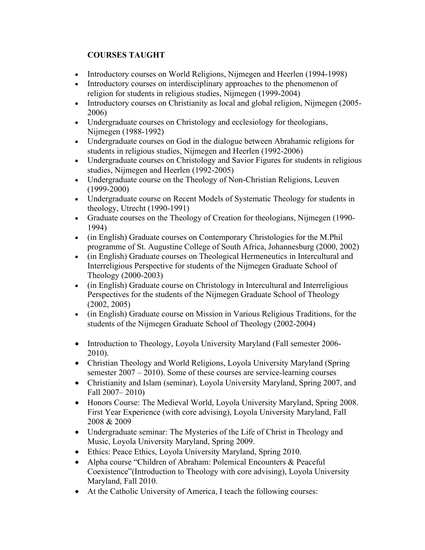## **COURSES TAUGHT**

- Introductory courses on World Religions, Nijmegen and Heerlen (1994-1998)
- Introductory courses on interdisciplinary approaches to the phenomenon of religion for students in religious studies, Nijmegen (1999-2004)
- Introductory courses on Christianity as local and global religion, Nijmegen (2005- 2006)
- Undergraduate courses on Christology and ecclesiology for theologians, Nijmegen (1988-1992)
- Undergraduate courses on God in the dialogue between Abrahamic religions for students in religious studies, Nijmegen and Heerlen (1992-2006)
- Undergraduate courses on Christology and Savior Figures for students in religious studies, Nijmegen and Heerlen (1992-2005)
- Undergraduate course on the Theology of Non-Christian Religions, Leuven (1999-2000)
- Undergraduate course on Recent Models of Systematic Theology for students in theology, Utrecht (1990-1991)
- Graduate courses on the Theology of Creation for theologians, Nijmegen (1990- 1994)
- (in English) Graduate courses on Contemporary Christologies for the M.Phil programme of St. Augustine College of South Africa, Johannesburg (2000, 2002)
- (in English) Graduate courses on Theological Hermeneutics in Intercultural and Interreligious Perspective for students of the Nijmegen Graduate School of Theology (2000-2003)
- (in English) Graduate course on Christology in Intercultural and Interreligious Perspectives for the students of the Nijmegen Graduate School of Theology (2002, 2005)
- (in English) Graduate course on Mission in Various Religious Traditions, for the students of the Nijmegen Graduate School of Theology (2002-2004)
- Introduction to Theology, Loyola University Maryland (Fall semester 2006- 2010).
- Christian Theology and World Religions, Loyola University Maryland (Spring semester 2007 – 2010). Some of these courses are service-learning courses
- Christianity and Islam (seminar), Loyola University Maryland, Spring 2007, and Fall 2007– 2010)
- Honors Course: The Medieval World, Loyola University Maryland, Spring 2008. First Year Experience (with core advising), Loyola University Maryland, Fall 2008 & 2009
- Undergraduate seminar: The Mysteries of the Life of Christ in Theology and Music, Loyola University Maryland, Spring 2009.
- Ethics: Peace Ethics, Loyola University Maryland, Spring 2010.
- Alpha course "Children of Abraham: Polemical Encounters & Peaceful Coexistence"(Introduction to Theology with core advising), Loyola University Maryland, Fall 2010.
- At the Catholic University of America, I teach the following courses: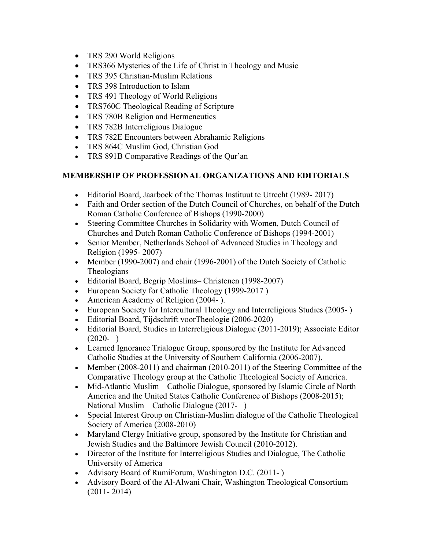- TRS 290 World Religions
- TRS366 Mysteries of the Life of Christ in Theology and Music
- TRS 395 Christian-Muslim Relations
- TRS 398 Introduction to Islam
- TRS 491 Theology of World Religions
- TRS760C Theological Reading of Scripture
- TRS 780B Religion and Hermeneutics
- TRS 782B Interreligious Dialogue
- TRS 782E Encounters between Abrahamic Religions
- TRS 864C Muslim God, Christian God
- TRS 891B Comparative Readings of the Qur'an

#### **MEMBERSHIP OF PROFESSIONAL ORGANIZATIONS AND EDITORIALS**

- Editorial Board, Jaarboek of the Thomas Instituut te Utrecht (1989-2017)
- Faith and Order section of the Dutch Council of Churches, on behalf of the Dutch Roman Catholic Conference of Bishops (1990-2000)
- Steering Committee Churches in Solidarity with Women, Dutch Council of Churches and Dutch Roman Catholic Conference of Bishops (1994-2001)
- Senior Member, Netherlands School of Advanced Studies in Theology and Religion (1995- 2007)
- Member (1990-2007) and chair (1996-2001) of the Dutch Society of Catholic Theologians
- Editorial Board, Begrip Moslims– Christenen (1998-2007)
- European Society for Catholic Theology (1999-2017)
- American Academy of Religion (2004- ).
- European Society for Intercultural Theology and Interreligious Studies (2005- )
- Editorial Board, Tijdschrift voorTheologie (2006-2020)
- Editorial Board, Studies in Interreligious Dialogue (2011-2019); Associate Editor  $(2020- )$
- Learned Ignorance Trialogue Group, sponsored by the Institute for Advanced Catholic Studies at the University of Southern California (2006-2007).
- Member (2008-2011) and chairman (2010-2011) of the Steering Committee of the Comparative Theology group at the Catholic Theological Society of America.
- Mid-Atlantic Muslim Catholic Dialogue, sponsored by Islamic Circle of North America and the United States Catholic Conference of Bishops (2008-2015); National Muslim – Catholic Dialogue (2017- )
- Special Interest Group on Christian-Muslim dialogue of the Catholic Theological Society of America (2008-2010)
- Maryland Clergy Initiative group, sponsored by the Institute for Christian and Jewish Studies and the Baltimore Jewish Council (2010-2012).
- Director of the Institute for Interreligious Studies and Dialogue, The Catholic University of America
- Advisory Board of RumiForum, Washington D.C. (2011-)
- Advisory Board of the Al-Alwani Chair, Washington Theological Consortium (2011- 2014)